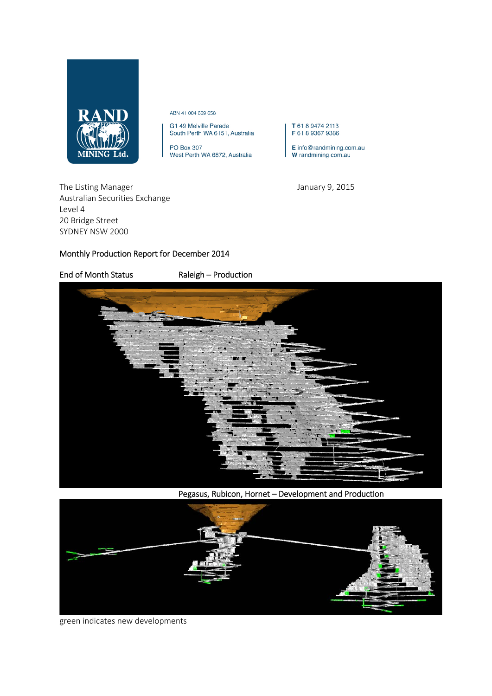

ABN 41 004 669 658

G1 49 Melville Parade<br>South Perth WA 6151, Australia

PO Box 307 West Perth WA 6872, Australia

T 61 8 9474 2113 F 61 8 9367 9386

 $E$  info@randmining.com.au W randmining.com.au

The Listing Manager **The Listing Manager** 3.15 Australian Securities Exchange Level 4 20 Bridge Street SYDNEY NSW 2000

## Monthly Production Report for December 2014

End of Month Status Raleigh – Production



Pegasus, Rubicon, Hornet – Development and Production



green indicates new developments